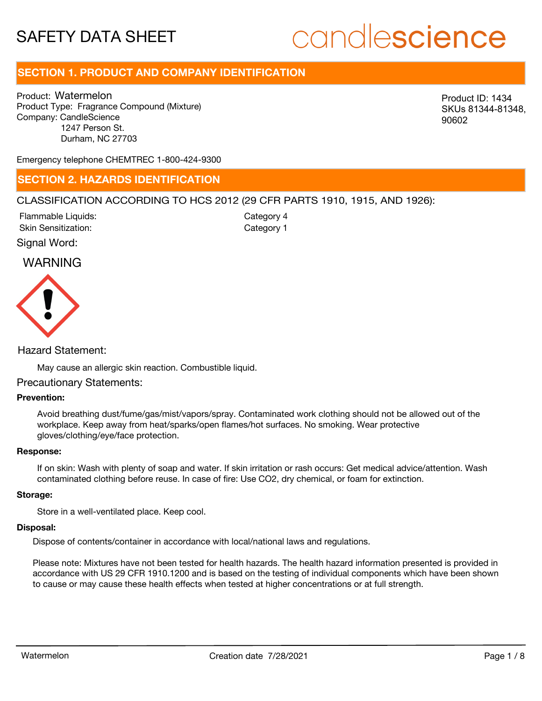# candlescience

## **SECTION 1. PRODUCT AND COMPANY IDENTIFICATION**

Product: Watermelon Product Type: Fragrance Compound (Mixture) Company: CandleScience 1247 Person St. Durham, NC 27703

Product ID: 1434 SKUs 81344-81348, 90602

Emergency telephone CHEMTREC 1-800-424-9300

### **SECTION 2. HAZARDS IDENTIFICATION**

### CLASSIFICATION ACCORDING TO HCS 2012 (29 CFR PARTS 1910, 1915, AND 1926):

Skin Sensitization: Flammable Liquids: Category 1 Category 4

Signal Word:

### WARNING



Hazard Statement:

May cause an allergic skin reaction. Combustible liquid.

### Precautionary Statements:

### **Prevention:**

Avoid breathing dust/fume/gas/mist/vapors/spray. Contaminated work clothing should not be allowed out of the workplace. Keep away from heat/sparks/open flames/hot surfaces. No smoking. Wear protective gloves/clothing/eye/face protection.

#### **Response:**

If on skin: Wash with plenty of soap and water. If skin irritation or rash occurs: Get medical advice/attention. Wash contaminated clothing before reuse. In case of fire: Use CO2, dry chemical, or foam for extinction.

#### **Storage:**

Store in a well-ventilated place. Keep cool.

### **Disposal:**

Dispose of contents/container in accordance with local/national laws and regulations.

Please note: Mixtures have not been tested for health hazards. The health hazard information presented is provided in accordance with US 29 CFR 1910.1200 and is based on the testing of individual components which have been shown to cause or may cause these health effects when tested at higher concentrations or at full strength.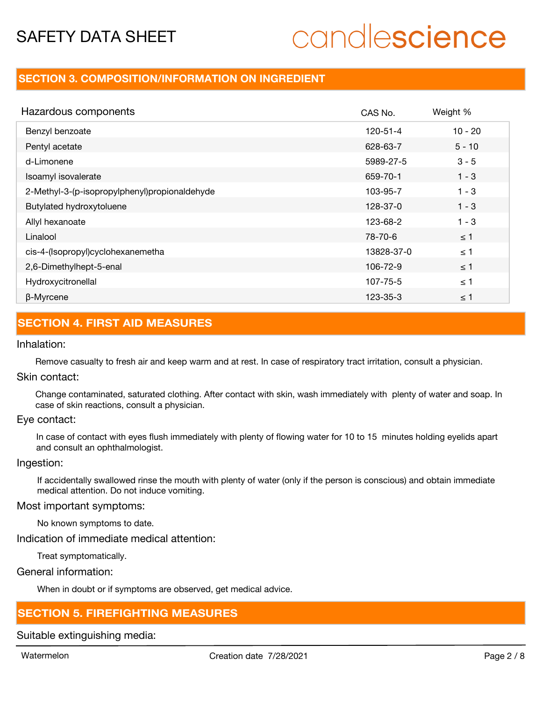# candlescience

## **SECTION 3. COMPOSITION/INFORMATION ON INGREDIENT**

| Hazardous components                          | CAS No.    | Weight %  |
|-----------------------------------------------|------------|-----------|
| Benzyl benzoate                               | 120-51-4   | $10 - 20$ |
| Pentyl acetate                                | 628-63-7   | $5 - 10$  |
| d-Limonene                                    | 5989-27-5  | $3 - 5$   |
| Isoamyl isovalerate                           | 659-70-1   | $1 - 3$   |
| 2-Methyl-3-(p-isopropylphenyl)propionaldehyde | 103-95-7   | $1 - 3$   |
| Butylated hydroxytoluene                      | 128-37-0   | $1 - 3$   |
| Allyl hexanoate                               | 123-68-2   | $1 - 3$   |
| Linalool                                      | 78-70-6    | $\leq$ 1  |
| cis-4-(Isopropyl)cyclohexanemetha             | 13828-37-0 | $\leq$ 1  |
| 2,6-Dimethylhept-5-enal                       | 106-72-9   | $\leq$ 1  |
| Hydroxycitronellal                            | 107-75-5   | $\leq$ 1  |
| β-Myrcene                                     | 123-35-3   | $\leq$ 1  |

## **SECTION 4. FIRST AID MEASURES**

### Inhalation:

Remove casualty to fresh air and keep warm and at rest. In case of respiratory tract irritation, consult a physician.

### Skin contact:

Change contaminated, saturated clothing. After contact with skin, wash immediately with plenty of water and soap. In case of skin reactions, consult a physician.

### Eye contact:

In case of contact with eyes flush immediately with plenty of flowing water for 10 to 15 minutes holding eyelids apart and consult an ophthalmologist.

### Ingestion:

If accidentally swallowed rinse the mouth with plenty of water (only if the person is conscious) and obtain immediate medical attention. Do not induce vomiting.

### Most important symptoms:

No known symptoms to date.

Indication of immediate medical attention:

Treat symptomatically.

General information:

When in doubt or if symptoms are observed, get medical advice.

## **SECTION 5. FIREFIGHTING MEASURES**

Suitable extinguishing media: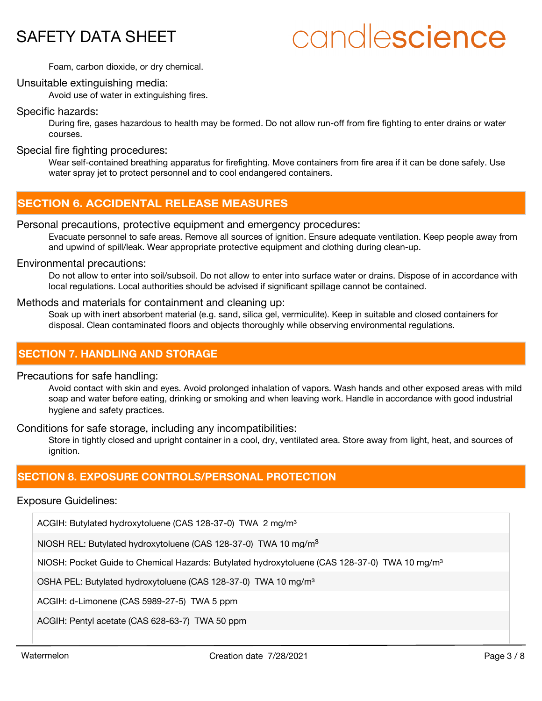# candlescience

Foam, carbon dioxide, or dry chemical.

### Unsuitable extinguishing media:

Avoid use of water in extinguishing fires.

### Specific hazards:

During fire, gases hazardous to health may be formed. Do not allow run-off from fire fighting to enter drains or water courses.

### Special fire fighting procedures:

Wear self-contained breathing apparatus for firefighting. Move containers from fire area if it can be done safely. Use water spray jet to protect personnel and to cool endangered containers.

## **SECTION 6. ACCIDENTAL RELEASE MEASURES**

### Personal precautions, protective equipment and emergency procedures:

Evacuate personnel to safe areas. Remove all sources of ignition. Ensure adequate ventilation. Keep people away from and upwind of spill/leak. Wear appropriate protective equipment and clothing during clean-up.

### Environmental precautions:

Do not allow to enter into soil/subsoil. Do not allow to enter into surface water or drains. Dispose of in accordance with local regulations. Local authorities should be advised if significant spillage cannot be contained.

### Methods and materials for containment and cleaning up:

Soak up with inert absorbent material (e.g. sand, silica gel, vermiculite). Keep in suitable and closed containers for disposal. Clean contaminated floors and objects thoroughly while observing environmental regulations.

### **SECTION 7. HANDLING AND STORAGE**

### Precautions for safe handling:

Avoid contact with skin and eyes. Avoid prolonged inhalation of vapors. Wash hands and other exposed areas with mild soap and water before eating, drinking or smoking and when leaving work. Handle in accordance with good industrial hygiene and safety practices.

Conditions for safe storage, including any incompatibilities:

Store in tightly closed and upright container in a cool, dry, ventilated area. Store away from light, heat, and sources of ianition.

### **SECTION 8. EXPOSURE CONTROLS/PERSONAL PROTECTION**

### Exposure Guidelines:

ACGIH: Butylated hydroxytoluene (CAS 128-37-0) TWA 2 mg/m<sup>3</sup>

NIOSH REL: Butylated hydroxytoluene (CAS 128-37-0) TWA 10 mg/m<sup>3</sup>

NIOSH: Pocket Guide to Chemical Hazards: Butylated hydroxytoluene (CAS 128-37-0) TWA 10 mg/m<sup>3</sup>

OSHA PEL: Butylated hydroxytoluene (CAS 128-37-0) TWA 10 mg/m<sup>3</sup>

ACGIH: d-Limonene (CAS 5989-27-5) TWA 5 ppm

ACGIH: Pentyl acetate (CAS 628-63-7) TWA 50 ppm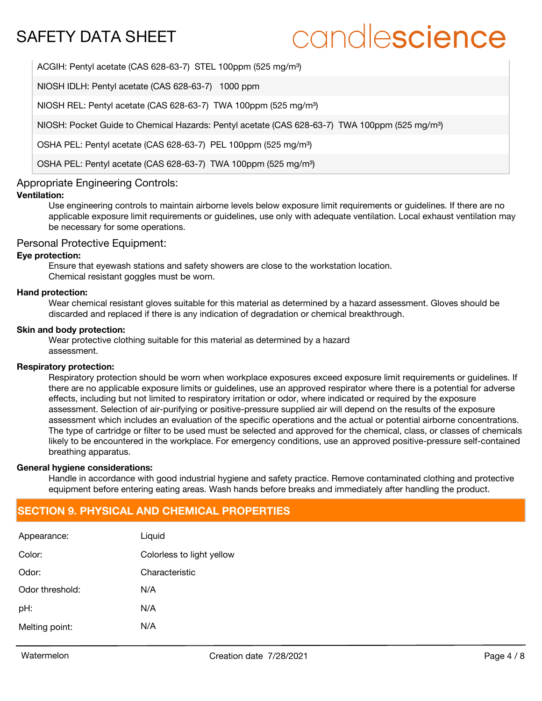# candlescience

ACGIH: Pentyl acetate (CAS 628-63-7) STEL 100ppm (525 mg/m<sup>3</sup>)

NIOSH IDLH: Pentyl acetate (CAS 628-63-7) 1000 ppm

NIOSH REL: Pentyl acetate (CAS 628-63-7) TWA 100ppm (525 mg/m<sup>3</sup>)

NIOSH: Pocket Guide to Chemical Hazards: Pentyl acetate (CAS 628-63-7) TWA 100ppm (525 mg/m<sup>3</sup>)

OSHA PEL: Pentyl acetate (CAS 628-63-7) PEL 100ppm (525 mg/m<sup>3</sup>)

OSHA PEL: Pentyl acetate (CAS 628-63-7) TWA 100ppm (525 mg/m<sup>3</sup>)

### Appropriate Engineering Controls:

### **Ventilation:**

Use engineering controls to maintain airborne levels below exposure limit requirements or guidelines. If there are no applicable exposure limit requirements or guidelines, use only with adequate ventilation. Local exhaust ventilation may be necessary for some operations.

### Personal Protective Equipment:

### **Eye protection:**

Ensure that eyewash stations and safety showers are close to the workstation location. Chemical resistant goggles must be worn.

#### **Hand protection:**

Wear chemical resistant gloves suitable for this material as determined by a hazard assessment. Gloves should be discarded and replaced if there is any indication of degradation or chemical breakthrough.

#### **Skin and body protection:**

Wear protective clothing suitable for this material as determined by a hazard assessment.

### **Respiratory protection:**

Respiratory protection should be worn when workplace exposures exceed exposure limit requirements or guidelines. If there are no applicable exposure limits or guidelines, use an approved respirator where there is a potential for adverse effects, including but not limited to respiratory irritation or odor, where indicated or required by the exposure assessment. Selection of air-purifying or positive-pressure supplied air will depend on the results of the exposure assessment which includes an evaluation of the specific operations and the actual or potential airborne concentrations. The type of cartridge or filter to be used must be selected and approved for the chemical, class, or classes of chemicals likely to be encountered in the workplace. For emergency conditions, use an approved positive-pressure self-contained breathing apparatus.

### **General hygiene considerations:**

Handle in accordance with good industrial hygiene and safety practice. Remove contaminated clothing and protective equipment before entering eating areas. Wash hands before breaks and immediately after handling the product.

## **SECTION 9. PHYSICAL AND CHEMICAL PROPERTIES**

| Appearance:     | Liquid                    |
|-----------------|---------------------------|
| Color:          | Colorless to light yellow |
| Odor:           | Characteristic            |
| Odor threshold: | N/A                       |
| pH:             | N/A                       |
| Melting point:  | N/A                       |
|                 |                           |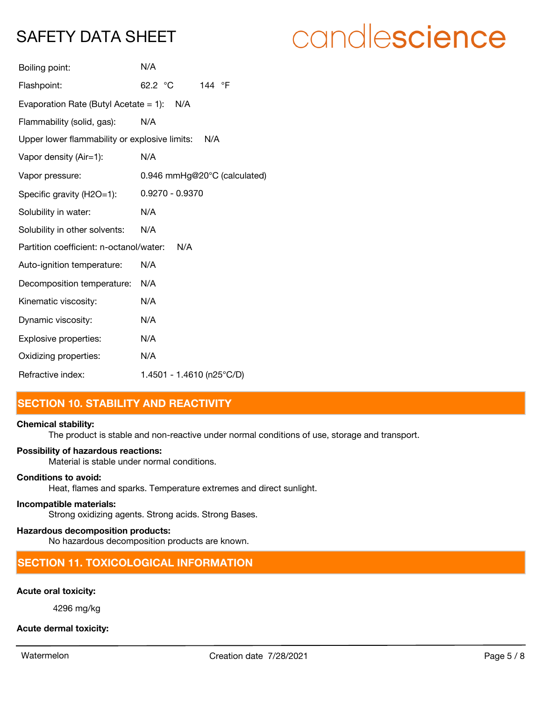# candlescience

| Boiling point:                                       | N/A                          |  |  |
|------------------------------------------------------|------------------------------|--|--|
| Flashpoint:                                          | 62.2 °C<br>144 °F            |  |  |
| Evaporation Rate (Butyl Acetate = 1): $N/A$          |                              |  |  |
| Flammability (solid, gas):                           | N/A                          |  |  |
| Upper lower flammability or explosive limits:<br>N/A |                              |  |  |
| Vapor density (Air=1):                               | N/A                          |  |  |
| Vapor pressure:                                      | 0.946 mmHg@20°C (calculated) |  |  |
| Specific gravity (H2O=1):                            | $0.9270 - 0.9370$            |  |  |
| Solubility in water:                                 | N/A                          |  |  |
| Solubility in other solvents:                        | N/A                          |  |  |
| Partition coefficient: n-octanol/water:              | N/A                          |  |  |
| Auto-ignition temperature:                           | N/A                          |  |  |
| Decomposition temperature:                           | N/A                          |  |  |
| Kinematic viscosity:                                 | N/A                          |  |  |
| Dynamic viscosity:                                   | N/A                          |  |  |
| Explosive properties:                                | N/A                          |  |  |
| Oxidizing properties:                                | N/A                          |  |  |
| Refractive index:                                    | 1.4501 - 1.4610 (n25°C/D)    |  |  |

## **SECTION 10. STABILITY AND REACTIVITY**

### **Chemical stability:**

The product is stable and non-reactive under normal conditions of use, storage and transport.

### **Possibility of hazardous reactions:**

Material is stable under normal conditions.

### **Conditions to avoid:**

Heat, flames and sparks. Temperature extremes and direct sunlight.

### **Incompatible materials:**

Strong oxidizing agents. Strong acids. Strong Bases.

### **Hazardous decomposition products:**

No hazardous decomposition products are known.

## **SECTION 11. TOXICOLOGICAL INFORMATION**

### **Acute oral toxicity:**

4296 mg/kg

### **Acute dermal toxicity:**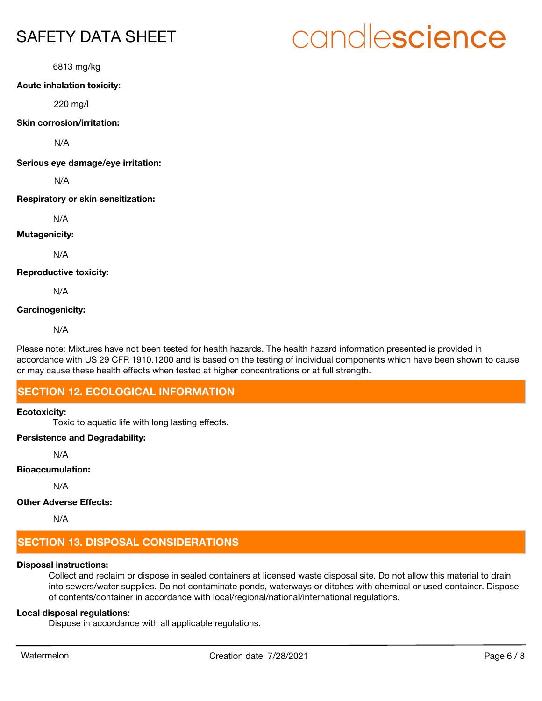6813 mg/kg

### **Acute inhalation toxicity:**

220 mg/l

### **Skin corrosion/irritation:**

N/A

**Serious eye damage/eye irritation:**

N/A

### **Respiratory or skin sensitization:**

N/A

### **Mutagenicity:**

N/A

### **Reproductive toxicity:**

N/A

### **Carcinogenicity:**

N/A

Please note: Mixtures have not been tested for health hazards. The health hazard information presented is provided in accordance with US 29 CFR 1910.1200 and is based on the testing of individual components which have been shown to cause or may cause these health effects when tested at higher concentrations or at full strength.

## **SECTION 12. ECOLOGICAL INFORMATION**

### **Ecotoxicity:**

Toxic to aquatic life with long lasting effects.

### **Persistence and Degradability:**

N/A

### **Bioaccumulation:**

N/A

### **Other Adverse Effects:**

N/A

## **SECTION 13. DISPOSAL CONSIDERATIONS**

### **Disposal instructions:**

Collect and reclaim or dispose in sealed containers at licensed waste disposal site. Do not allow this material to drain into sewers/water supplies. Do not contaminate ponds, waterways or ditches with chemical or used container. Dispose of contents/container in accordance with local/regional/national/international regulations.

### **Local disposal regulations:**

Dispose in accordance with all applicable regulations.

# candlescience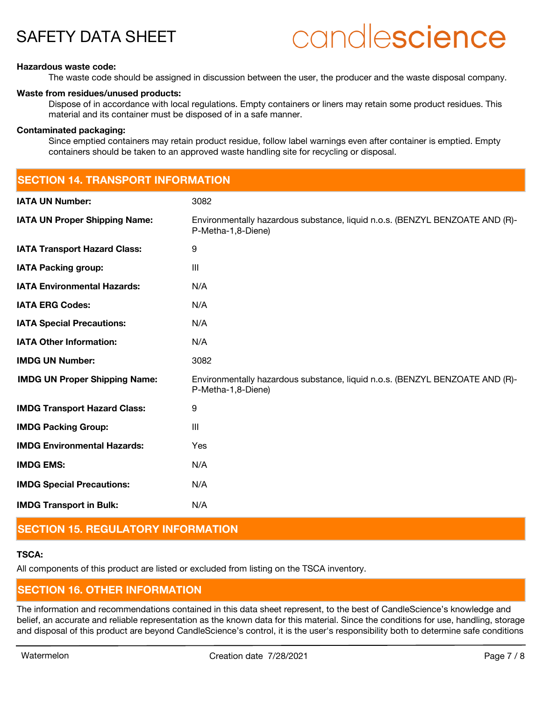# candlescience

### **Hazardous waste code:**

The waste code should be assigned in discussion between the user, the producer and the waste disposal company.

### **Waste from residues/unused products:**

Dispose of in accordance with local regulations. Empty containers or liners may retain some product residues. This material and its container must be disposed of in a safe manner.

### **Contaminated packaging:**

Since emptied containers may retain product residue, follow label warnings even after container is emptied. Empty containers should be taken to an approved waste handling site for recycling or disposal.

| <b>SECTION 14. TRANSPORT INFORMATION</b> |                                                                                                    |  |
|------------------------------------------|----------------------------------------------------------------------------------------------------|--|
| <b>IATA UN Number:</b>                   | 3082                                                                                               |  |
| <b>IATA UN Proper Shipping Name:</b>     | Environmentally hazardous substance, liquid n.o.s. (BENZYL BENZOATE AND (R)-<br>P-Metha-1,8-Diene) |  |
| <b>IATA Transport Hazard Class:</b>      | 9                                                                                                  |  |
| <b>IATA Packing group:</b>               | $\mathbf{III}$                                                                                     |  |
| <b>IATA Environmental Hazards:</b>       | N/A                                                                                                |  |
| <b>IATA ERG Codes:</b>                   | N/A                                                                                                |  |
| <b>IATA Special Precautions:</b>         | N/A                                                                                                |  |
| <b>IATA Other Information:</b>           | N/A                                                                                                |  |
| <b>IMDG UN Number:</b>                   | 3082                                                                                               |  |
| <b>IMDG UN Proper Shipping Name:</b>     | Environmentally hazardous substance, liquid n.o.s. (BENZYL BENZOATE AND (R)-<br>P-Metha-1,8-Diene) |  |
| <b>IMDG Transport Hazard Class:</b>      | 9                                                                                                  |  |
| <b>IMDG Packing Group:</b>               | $\mathbf{III}$                                                                                     |  |
| <b>IMDG Environmental Hazards:</b>       | Yes                                                                                                |  |
| <b>IMDG EMS:</b>                         | N/A                                                                                                |  |
| <b>IMDG Special Precautions:</b>         | N/A                                                                                                |  |
| <b>IMDG Transport in Bulk:</b>           | N/A                                                                                                |  |

## **SECTION 15. REGULATORY INFORMATION**

### **TSCA:**

All components of this product are listed or excluded from listing on the TSCA inventory.

## **SECTION 16. OTHER INFORMATION**

The information and recommendations contained in this data sheet represent, to the best of CandleScience's knowledge and belief, an accurate and reliable representation as the known data for this material. Since the conditions for use, handling, storage and disposal of this product are beyond CandleScience's control, it is the user's responsibility both to determine safe conditions